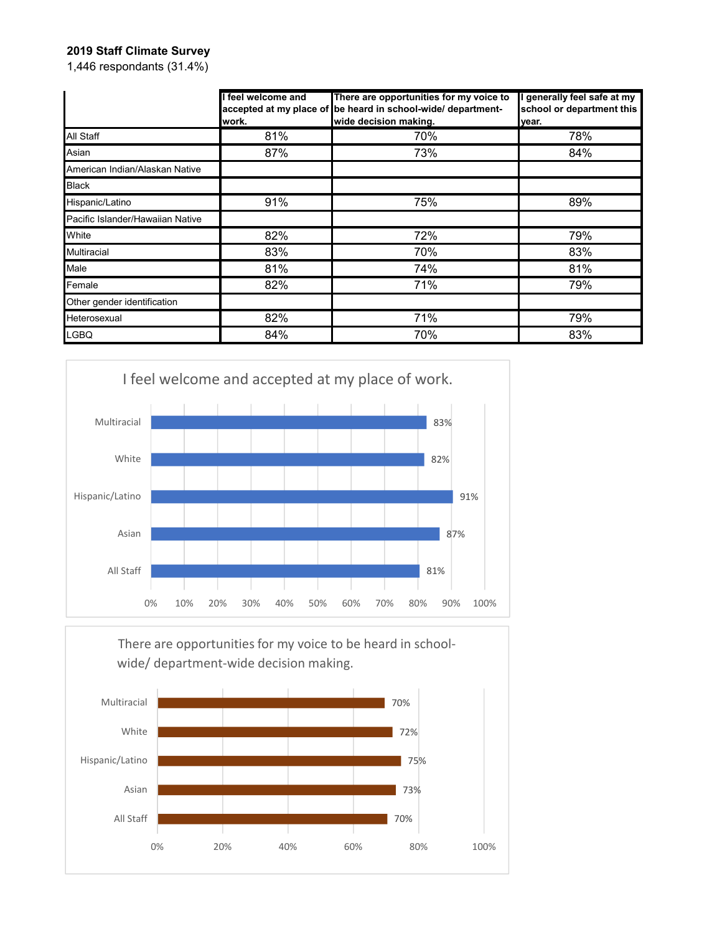## **2019 Staff Climate Survey**

1,446 respondants (31.4%)

|                                  | feel welcome and<br>work. | There are opportunities for my voice to<br>accepted at my place of be heard in school-wide/ department-<br>wide decision making. | generally feel safe at my<br>school or department this<br>year. |
|----------------------------------|---------------------------|----------------------------------------------------------------------------------------------------------------------------------|-----------------------------------------------------------------|
| All Staff                        | 81%                       | 70%                                                                                                                              | 78%                                                             |
| Asian                            | 87%                       | 73%                                                                                                                              | 84%                                                             |
| American Indian/Alaskan Native   |                           |                                                                                                                                  |                                                                 |
| <b>Black</b>                     |                           |                                                                                                                                  |                                                                 |
| Hispanic/Latino                  | 91%                       | 75%                                                                                                                              | 89%                                                             |
| Pacific Islander/Hawaiian Native |                           |                                                                                                                                  |                                                                 |
| White                            | 82%                       | 72%                                                                                                                              | 79%                                                             |
| <b>Multiracial</b>               | 83%                       | 70%                                                                                                                              | 83%                                                             |
| Male                             | 81%                       | 74%                                                                                                                              | 81%                                                             |
| Female                           | 82%                       | 71%                                                                                                                              | 79%                                                             |
| Other gender identification      |                           |                                                                                                                                  |                                                                 |
| Heterosexual                     | 82%                       | 71%                                                                                                                              | 79%                                                             |
| LGBQ                             | 84%                       | 70%                                                                                                                              | 83%                                                             |